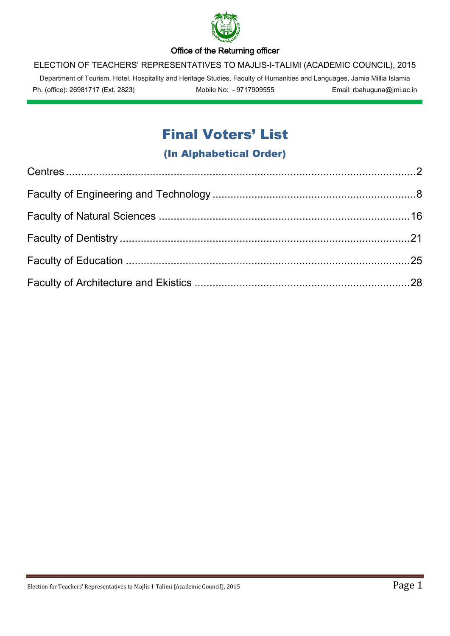

#### Office of the Returning officer

#### ELECTION OF TEACHERS' REPRESENTATIVES TO MAJLIS-I-TALIMI (ACADEMIC COUNCIL), 2015

Department of Tourism, Hotel, Hospitality and Heritage Studies, Faculty of Humanities and Languages, Jamia Millia Islamia Ph. (office): 26981717 (Ext. 2823) Mobile No: - 9717909555 [amail: rbahuguna@jmi.ac.in]

### Final Voters' List

#### (In Alphabetical Order)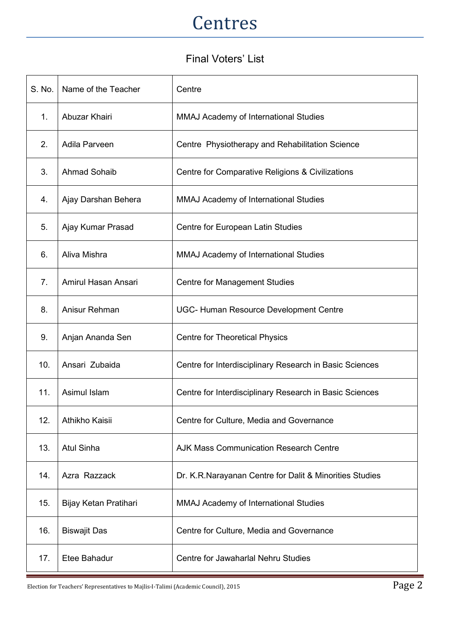# Centres

| S. No. | Name of the Teacher   | Centre                                                  |
|--------|-----------------------|---------------------------------------------------------|
| 1.     | Abuzar Khairi         | MMAJ Academy of International Studies                   |
| 2.     | Adila Parveen         | Centre Physiotherapy and Rehabilitation Science         |
| 3.     | <b>Ahmad Sohaib</b>   | Centre for Comparative Religions & Civilizations        |
| 4.     | Ajay Darshan Behera   | MMAJ Academy of International Studies                   |
| 5.     | Ajay Kumar Prasad     | Centre for European Latin Studies                       |
| 6.     | Aliva Mishra          | <b>MMAJ Academy of International Studies</b>            |
| 7.     | Amirul Hasan Ansari   | <b>Centre for Management Studies</b>                    |
| 8.     | Anisur Rehman         | <b>UGC- Human Resource Development Centre</b>           |
| 9.     | Anjan Ananda Sen      | <b>Centre for Theoretical Physics</b>                   |
| 10.    | Ansari Zubaida        | Centre for Interdisciplinary Research in Basic Sciences |
| 11.    | Asimul Islam          | Centre for Interdisciplinary Research in Basic Sciences |
| 12.    | Athikho Kaisii        | Centre for Culture, Media and Governance                |
| 13.    | <b>Atul Sinha</b>     | <b>AJK Mass Communication Research Centre</b>           |
| 14.    | Azra Razzack          | Dr. K.R.Narayanan Centre for Dalit & Minorities Studies |
| 15.    | Bijay Ketan Pratihari | MMAJ Academy of International Studies                   |
| 16.    | <b>Biswajit Das</b>   | Centre for Culture, Media and Governance                |
| 17.    | <b>Etee Bahadur</b>   | Centre for Jawaharlal Nehru Studies                     |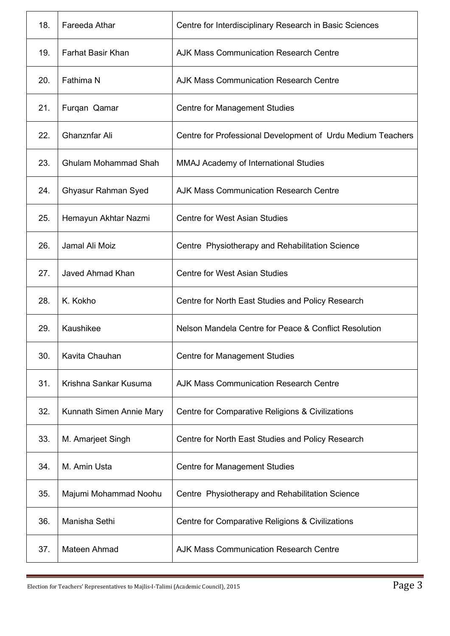| 18. | Fareeda Athar            | Centre for Interdisciplinary Research in Basic Sciences     |
|-----|--------------------------|-------------------------------------------------------------|
| 19. | <b>Farhat Basir Khan</b> | <b>AJK Mass Communication Research Centre</b>               |
| 20. | Fathima N                | <b>AJK Mass Communication Research Centre</b>               |
| 21. | Furqan Qamar             | <b>Centre for Management Studies</b>                        |
| 22. | Ghanznfar Ali            | Centre for Professional Development of Urdu Medium Teachers |
| 23. | Ghulam Mohammad Shah     | <b>MMAJ Academy of International Studies</b>                |
| 24. | Ghyasur Rahman Syed      | <b>AJK Mass Communication Research Centre</b>               |
| 25. | Hemayun Akhtar Nazmi     | <b>Centre for West Asian Studies</b>                        |
| 26. | Jamal Ali Moiz           | Centre Physiotherapy and Rehabilitation Science             |
| 27. | Javed Ahmad Khan         | <b>Centre for West Asian Studies</b>                        |
| 28. | K. Kokho                 | Centre for North East Studies and Policy Research           |
| 29. | Kaushikee                | Nelson Mandela Centre for Peace & Conflict Resolution       |
| 30. | Kavita Chauhan           | <b>Centre for Management Studies</b>                        |
| 31. | Krishna Sankar Kusuma    | <b>AJK Mass Communication Research Centre</b>               |
| 32. | Kunnath Simen Annie Mary | Centre for Comparative Religions & Civilizations            |
| 33. | M. Amarjeet Singh        | Centre for North East Studies and Policy Research           |
| 34. | M. Amin Usta             | <b>Centre for Management Studies</b>                        |
| 35. | Majumi Mohammad Noohu    | Centre Physiotherapy and Rehabilitation Science             |
| 36. | Manisha Sethi            | Centre for Comparative Religions & Civilizations            |
| 37. | Mateen Ahmad             | <b>AJK Mass Communication Research Centre</b>               |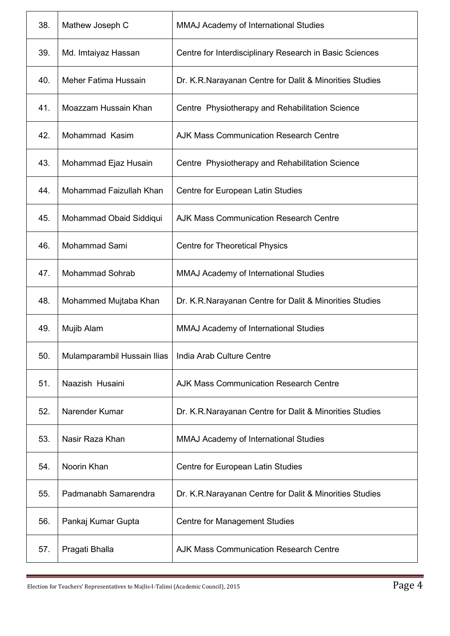| 38. | Mathew Joseph C             | <b>MMAJ Academy of International Studies</b>             |
|-----|-----------------------------|----------------------------------------------------------|
| 39. | Md. Imtaiyaz Hassan         | Centre for Interdisciplinary Research in Basic Sciences  |
| 40. | Meher Fatima Hussain        | Dr. K.R. Narayanan Centre for Dalit & Minorities Studies |
| 41. | Moazzam Hussain Khan        | Centre Physiotherapy and Rehabilitation Science          |
| 42. | Mohammad Kasim              | <b>AJK Mass Communication Research Centre</b>            |
| 43. | Mohammad Ejaz Husain        | Centre Physiotherapy and Rehabilitation Science          |
| 44. | Mohammad Faizullah Khan     | Centre for European Latin Studies                        |
| 45. | Mohammad Obaid Siddiqui     | <b>AJK Mass Communication Research Centre</b>            |
| 46. | <b>Mohammad Sami</b>        | <b>Centre for Theoretical Physics</b>                    |
| 47. | <b>Mohammad Sohrab</b>      | <b>MMAJ Academy of International Studies</b>             |
| 48. | Mohammed Mujtaba Khan       | Dr. K.R. Narayanan Centre for Dalit & Minorities Studies |
| 49. | Mujib Alam                  | MMAJ Academy of International Studies                    |
| 50. | Mulamparambil Hussain Ilias | India Arab Culture Centre                                |
| 51. | Naazish Husaini             | <b>AJK Mass Communication Research Centre</b>            |
| 52. | Narender Kumar              | Dr. K.R. Narayanan Centre for Dalit & Minorities Studies |
| 53. | Nasir Raza Khan             | MMAJ Academy of International Studies                    |
| 54. | Noorin Khan                 | Centre for European Latin Studies                        |
| 55. | Padmanabh Samarendra        | Dr. K.R. Narayanan Centre for Dalit & Minorities Studies |
| 56. | Pankaj Kumar Gupta          | <b>Centre for Management Studies</b>                     |
| 57. | Pragati Bhalla              | <b>AJK Mass Communication Research Centre</b>            |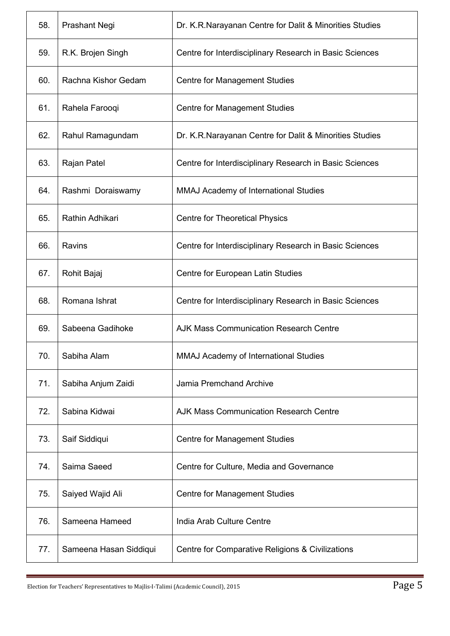| 58. | Prashant Negi          | Dr. K.R. Narayanan Centre for Dalit & Minorities Studies |
|-----|------------------------|----------------------------------------------------------|
| 59. | R.K. Brojen Singh      | Centre for Interdisciplinary Research in Basic Sciences  |
| 60. | Rachna Kishor Gedam    | <b>Centre for Management Studies</b>                     |
| 61. | Rahela Farooqi         | <b>Centre for Management Studies</b>                     |
| 62. | Rahul Ramagundam       | Dr. K.R.Narayanan Centre for Dalit & Minorities Studies  |
| 63. | Rajan Patel            | Centre for Interdisciplinary Research in Basic Sciences  |
| 64. | Rashmi Doraiswamy      | MMAJ Academy of International Studies                    |
| 65. | Rathin Adhikari        | <b>Centre for Theoretical Physics</b>                    |
| 66. | Ravins                 | Centre for Interdisciplinary Research in Basic Sciences  |
| 67. | Rohit Bajaj            | Centre for European Latin Studies                        |
| 68. | Romana Ishrat          | Centre for Interdisciplinary Research in Basic Sciences  |
| 69. | Sabeena Gadihoke       | <b>AJK Mass Communication Research Centre</b>            |
| 70. | Sabiha Alam            | MMAJ Academy of International Studies                    |
| 71. | Sabiha Anjum Zaidi     | Jamia Premchand Archive                                  |
| 72. | Sabina Kidwai          | <b>AJK Mass Communication Research Centre</b>            |
| 73. | Saif Siddiqui          | <b>Centre for Management Studies</b>                     |
| 74. | Saima Saeed            | Centre for Culture, Media and Governance                 |
| 75. | Saiyed Wajid Ali       | <b>Centre for Management Studies</b>                     |
| 76. | Sameena Hameed         | India Arab Culture Centre                                |
| 77. | Sameena Hasan Siddiqui | Centre for Comparative Religions & Civilizations         |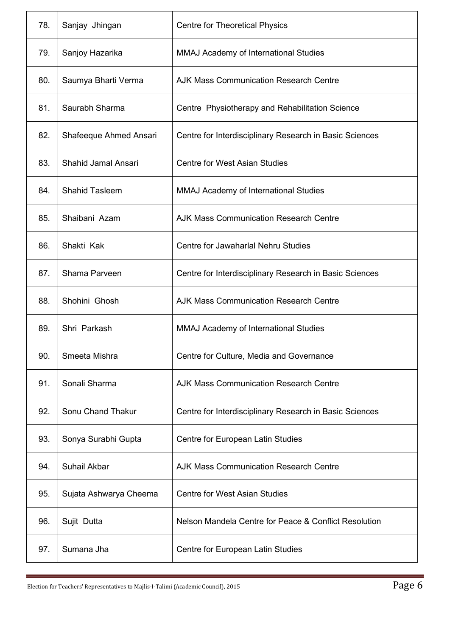| 78. | Sanjay Jhingan         | <b>Centre for Theoretical Physics</b>                   |
|-----|------------------------|---------------------------------------------------------|
| 79. | Sanjoy Hazarika        | <b>MMAJ Academy of International Studies</b>            |
| 80. | Saumya Bharti Verma    | <b>AJK Mass Communication Research Centre</b>           |
| 81. | Saurabh Sharma         | Centre Physiotherapy and Rehabilitation Science         |
| 82. | Shafeeque Ahmed Ansari | Centre for Interdisciplinary Research in Basic Sciences |
| 83. | Shahid Jamal Ansari    | Centre for West Asian Studies                           |
| 84. | <b>Shahid Tasleem</b>  | <b>MMAJ Academy of International Studies</b>            |
| 85. | Shaibani Azam          | <b>AJK Mass Communication Research Centre</b>           |
| 86. | Shakti Kak             | Centre for Jawaharlal Nehru Studies                     |
| 87. | Shama Parveen          | Centre for Interdisciplinary Research in Basic Sciences |
| 88. | Shohini Ghosh          | <b>AJK Mass Communication Research Centre</b>           |
| 89. | Shri Parkash           | <b>MMAJ Academy of International Studies</b>            |
| 90. | Smeeta Mishra          | Centre for Culture, Media and Governance                |
| 91. | Sonali Sharma          | <b>AJK Mass Communication Research Centre</b>           |
| 92. | Sonu Chand Thakur      | Centre for Interdisciplinary Research in Basic Sciences |
| 93. | Sonya Surabhi Gupta    | Centre for European Latin Studies                       |
| 94. | Suhail Akbar           | <b>AJK Mass Communication Research Centre</b>           |
| 95. | Sujata Ashwarya Cheema | <b>Centre for West Asian Studies</b>                    |
| 96. | Sujit Dutta            | Nelson Mandela Centre for Peace & Conflict Resolution   |
| 97. | Sumana Jha             | Centre for European Latin Studies                       |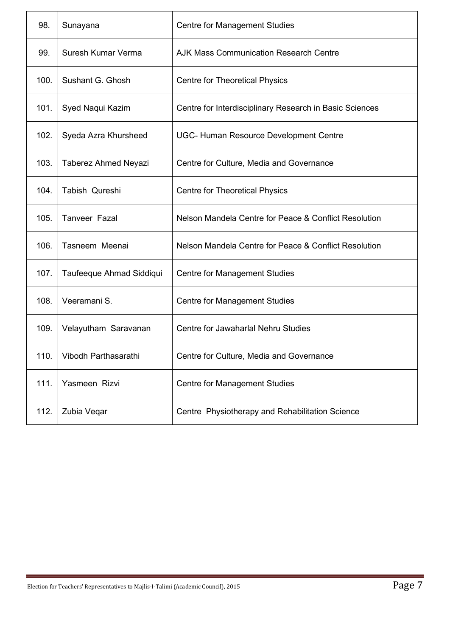| 98.  | Sunayana                    | <b>Centre for Management Studies</b>                    |
|------|-----------------------------|---------------------------------------------------------|
| 99.  | Suresh Kumar Verma          | AJK Mass Communication Research Centre                  |
| 100. | Sushant G. Ghosh            | <b>Centre for Theoretical Physics</b>                   |
| 101. | Syed Naqui Kazim            | Centre for Interdisciplinary Research in Basic Sciences |
| 102. | Syeda Azra Khursheed        | <b>UGC- Human Resource Development Centre</b>           |
| 103. | <b>Taberez Ahmed Neyazi</b> | Centre for Culture, Media and Governance                |
| 104. | Tabish Qureshi              | <b>Centre for Theoretical Physics</b>                   |
| 105. | <b>Tanveer Fazal</b>        | Nelson Mandela Centre for Peace & Conflict Resolution   |
| 106. | Tasneem Meenai              | Nelson Mandela Centre for Peace & Conflict Resolution   |
| 107. | Taufeeque Ahmad Siddiqui    | <b>Centre for Management Studies</b>                    |
| 108. | Veeramani S.                | <b>Centre for Management Studies</b>                    |
| 109. | Velayutham Saravanan        | Centre for Jawaharlal Nehru Studies                     |
| 110. | Vibodh Parthasarathi        | Centre for Culture, Media and Governance                |
| 111. | Yasmeen Rizvi               | <b>Centre for Management Studies</b>                    |
| 112. | Zubia Vegar                 | Centre Physiotherapy and Rehabilitation Science         |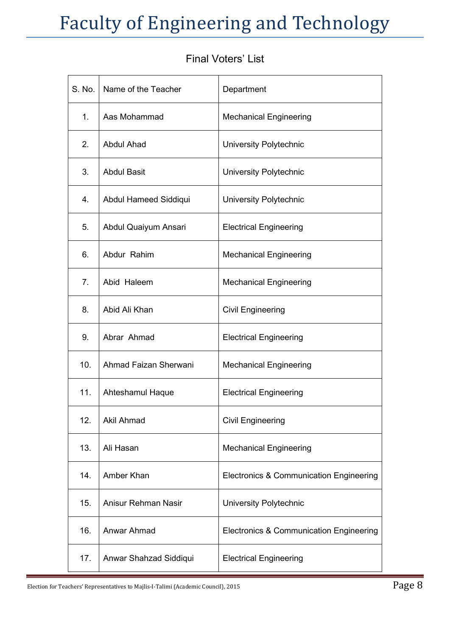#### Final Voters' List

| S. No. | Name of the Teacher    | Department                              |
|--------|------------------------|-----------------------------------------|
| 1.     | Aas Mohammad           | <b>Mechanical Engineering</b>           |
| 2.     | <b>Abdul Ahad</b>      | University Polytechnic                  |
| 3.     | <b>Abdul Basit</b>     | University Polytechnic                  |
| 4.     | Abdul Hameed Siddiqui  | University Polytechnic                  |
| 5.     | Abdul Quaiyum Ansari   | <b>Electrical Engineering</b>           |
| 6.     | Abdur Rahim            | <b>Mechanical Engineering</b>           |
| 7.     | Abid Haleem            | <b>Mechanical Engineering</b>           |
| 8.     | Abid Ali Khan          | <b>Civil Engineering</b>                |
| 9.     | Abrar Ahmad            | <b>Electrical Engineering</b>           |
| 10.    | Ahmad Faizan Sherwani  | <b>Mechanical Engineering</b>           |
| 11.    | Ahteshamul Haque       | <b>Electrical Engineering</b>           |
| 12.    | Akil Ahmad             | <b>Civil Engineering</b>                |
| 13.    | Ali Hasan              | <b>Mechanical Engineering</b>           |
| 14.    | Amber Khan             | Electronics & Communication Engineering |
| 15.    | Anisur Rehman Nasir    | <b>University Polytechnic</b>           |
| 16.    | Anwar Ahmad            | Electronics & Communication Engineering |
| 17.    | Anwar Shahzad Siddiqui | <b>Electrical Engineering</b>           |

Election for Teachers' Representatives to Majlis-I-Talimi (Academic Council), 2015 Page 8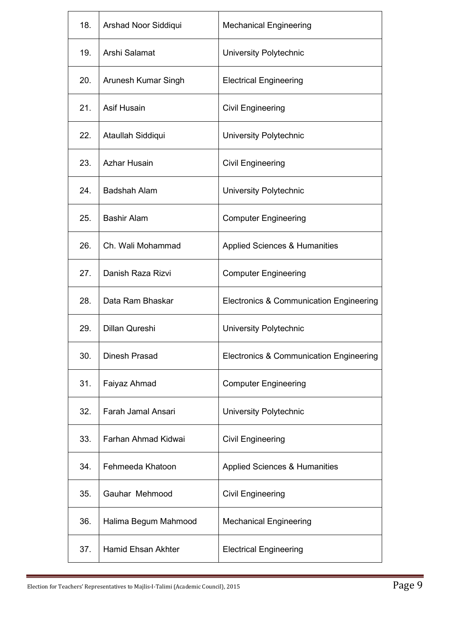| 18. | Arshad Noor Siddiqui | <b>Mechanical Engineering</b>            |
|-----|----------------------|------------------------------------------|
| 19. | Arshi Salamat        | University Polytechnic                   |
| 20. | Arunesh Kumar Singh  | <b>Electrical Engineering</b>            |
| 21. | <b>Asif Husain</b>   | <b>Civil Engineering</b>                 |
| 22. | Ataullah Siddiqui    | University Polytechnic                   |
| 23. | <b>Azhar Husain</b>  | Civil Engineering                        |
| 24. | <b>Badshah Alam</b>  | University Polytechnic                   |
| 25. | <b>Bashir Alam</b>   | <b>Computer Engineering</b>              |
| 26. | Ch. Wali Mohammad    | <b>Applied Sciences &amp; Humanities</b> |
| 27. | Danish Raza Rizvi    | <b>Computer Engineering</b>              |
| 28. | Data Ram Bhaskar     | Electronics & Communication Engineering  |
| 29. | Dillan Qureshi       | University Polytechnic                   |
| 30. | <b>Dinesh Prasad</b> | Electronics & Communication Engineering  |
| 31. | Faiyaz Ahmad         | <b>Computer Engineering</b>              |
| 32. | Farah Jamal Ansari   | University Polytechnic                   |
| 33. | Farhan Ahmad Kidwai  | <b>Civil Engineering</b>                 |
| 34. | Fehmeeda Khatoon     | <b>Applied Sciences &amp; Humanities</b> |
| 35. | Gauhar Mehmood       | <b>Civil Engineering</b>                 |
| 36. | Halima Begum Mahmood | <b>Mechanical Engineering</b>            |
| 37. | Hamid Ehsan Akhter   | <b>Electrical Engineering</b>            |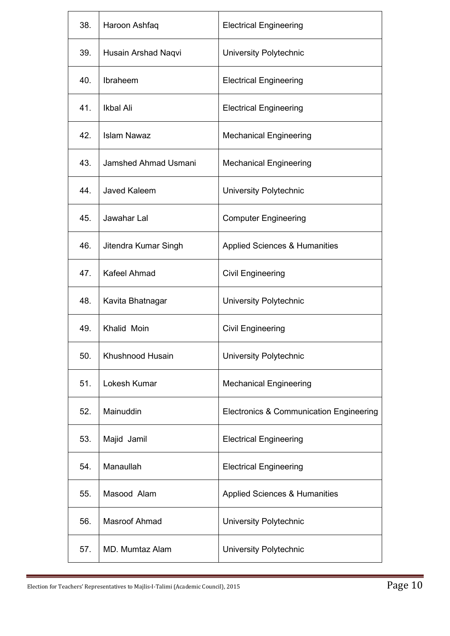| 38. | Haroon Ashfaq        | <b>Electrical Engineering</b>            |
|-----|----------------------|------------------------------------------|
| 39. | Husain Arshad Naqvi  | University Polytechnic                   |
| 40. | Ibraheem             | <b>Electrical Engineering</b>            |
| 41. | <b>Ikbal Ali</b>     | <b>Electrical Engineering</b>            |
| 42. | <b>Islam Nawaz</b>   | <b>Mechanical Engineering</b>            |
| 43. | Jamshed Ahmad Usmani | <b>Mechanical Engineering</b>            |
| 44. | Javed Kaleem         | University Polytechnic                   |
| 45. | Jawahar Lal          | <b>Computer Engineering</b>              |
| 46. | Jitendra Kumar Singh | <b>Applied Sciences &amp; Humanities</b> |
| 47. | Kafeel Ahmad         | <b>Civil Engineering</b>                 |
| 48. | Kavita Bhatnagar     | University Polytechnic                   |
| 49. | Khalid Moin          | <b>Civil Engineering</b>                 |
| 50. | Khushnood Husain     | University Polytechnic                   |
| 51. | Lokesh Kumar         | <b>Mechanical Engineering</b>            |
| 52. | Mainuddin            | Electronics & Communication Engineering  |
| 53. | Majid Jamil          | <b>Electrical Engineering</b>            |
| 54. | Manaullah            | <b>Electrical Engineering</b>            |
| 55. | Masood Alam          | <b>Applied Sciences &amp; Humanities</b> |
| 56. | <b>Masroof Ahmad</b> | University Polytechnic                   |
| 57. | MD. Mumtaz Alam      | University Polytechnic                   |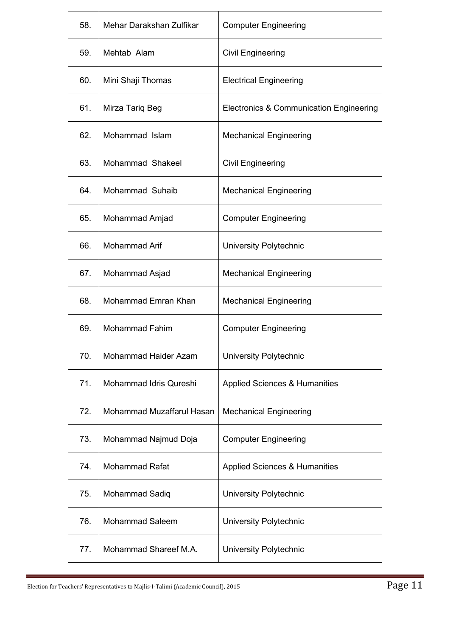| 58. | Mehar Darakshan Zulfikar  | <b>Computer Engineering</b>              |
|-----|---------------------------|------------------------------------------|
| 59. | Mehtab Alam               | <b>Civil Engineering</b>                 |
| 60. | Mini Shaji Thomas         | <b>Electrical Engineering</b>            |
| 61. | Mirza Tariq Beg           | Electronics & Communication Engineering  |
| 62. | Mohammad Islam            | <b>Mechanical Engineering</b>            |
| 63. | Mohammad Shakeel          | <b>Civil Engineering</b>                 |
| 64. | Mohammad Suhaib           | <b>Mechanical Engineering</b>            |
| 65. | Mohammad Amjad            | <b>Computer Engineering</b>              |
| 66. | <b>Mohammad Arif</b>      | University Polytechnic                   |
| 67. | Mohammad Asjad            | <b>Mechanical Engineering</b>            |
| 68. | Mohammad Emran Khan       | <b>Mechanical Engineering</b>            |
| 69. | <b>Mohammad Fahim</b>     | <b>Computer Engineering</b>              |
| 70. | Mohammad Haider Azam      | University Polytechnic                   |
| 71. | Mohammad Idris Qureshi    | <b>Applied Sciences &amp; Humanities</b> |
| 72. | Mohammad Muzaffarul Hasan | <b>Mechanical Engineering</b>            |
| 73. | Mohammad Najmud Doja      | <b>Computer Engineering</b>              |
| 74. | <b>Mohammad Rafat</b>     | <b>Applied Sciences &amp; Humanities</b> |
| 75. | Mohammad Sadiq            | University Polytechnic                   |
| 76. | <b>Mohammad Saleem</b>    | University Polytechnic                   |
| 77. | Mohammad Shareef M.A.     | University Polytechnic                   |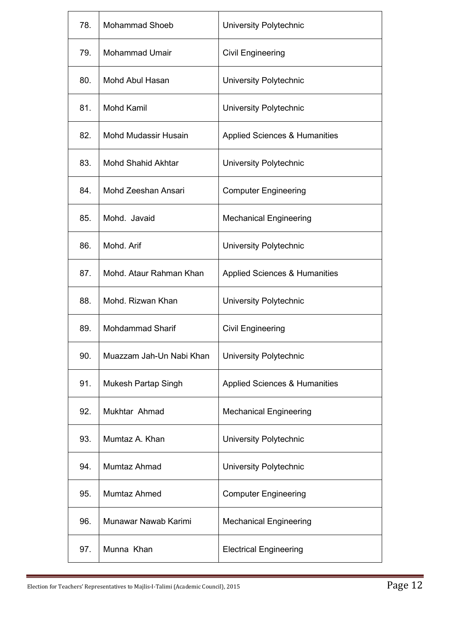| 78. | <b>Mohammad Shoeb</b>       | University Polytechnic                   |
|-----|-----------------------------|------------------------------------------|
| 79. | <b>Mohammad Umair</b>       | <b>Civil Engineering</b>                 |
| 80. | Mohd Abul Hasan             | University Polytechnic                   |
| 81. | <b>Mohd Kamil</b>           | University Polytechnic                   |
| 82. | <b>Mohd Mudassir Husain</b> | <b>Applied Sciences &amp; Humanities</b> |
| 83. | <b>Mohd Shahid Akhtar</b>   | University Polytechnic                   |
| 84. | Mohd Zeeshan Ansari         | <b>Computer Engineering</b>              |
| 85. | Mohd. Javaid                | <b>Mechanical Engineering</b>            |
| 86. | Mohd. Arif                  | University Polytechnic                   |
| 87. | Mohd. Ataur Rahman Khan     | <b>Applied Sciences &amp; Humanities</b> |
| 88. | Mohd. Rizwan Khan           | University Polytechnic                   |
| 89. | <b>Mohdammad Sharif</b>     | <b>Civil Engineering</b>                 |
| 90. | Muazzam Jah-Un Nabi Khan    | University Polytechnic                   |
| 91. | Mukesh Partap Singh         | <b>Applied Sciences &amp; Humanities</b> |
| 92. | Mukhtar Ahmad               | <b>Mechanical Engineering</b>            |
| 93. | Mumtaz A. Khan              | University Polytechnic                   |
| 94. | Mumtaz Ahmad                | University Polytechnic                   |
| 95. | Mumtaz Ahmed                | <b>Computer Engineering</b>              |
| 96. | Munawar Nawab Karimi        | <b>Mechanical Engineering</b>            |
| 97. | Munna Khan                  | <b>Electrical Engineering</b>            |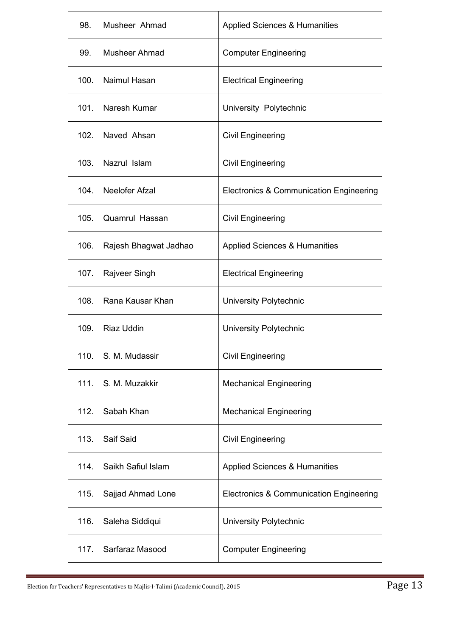| 98.  | Musheer Ahmad         | <b>Applied Sciences &amp; Humanities</b> |  |
|------|-----------------------|------------------------------------------|--|
| 99.  | Musheer Ahmad         | <b>Computer Engineering</b>              |  |
| 100. | Naimul Hasan          | <b>Electrical Engineering</b>            |  |
| 101. | Naresh Kumar          | University Polytechnic                   |  |
| 102. | Naved Ahsan           | <b>Civil Engineering</b>                 |  |
| 103. | Nazrul Islam          | <b>Civil Engineering</b>                 |  |
| 104. | Neelofer Afzal        | Electronics & Communication Engineering  |  |
| 105. | Quamrul Hassan        | <b>Civil Engineering</b>                 |  |
| 106. | Rajesh Bhagwat Jadhao | <b>Applied Sciences &amp; Humanities</b> |  |
| 107. | Rajveer Singh         | <b>Electrical Engineering</b>            |  |
| 108. | Rana Kausar Khan      | University Polytechnic                   |  |
| 109. | Riaz Uddin            | University Polytechnic                   |  |
| 110. | S. M. Mudassir        | <b>Civil Engineering</b>                 |  |
| 111. | S. M. Muzakkir        | <b>Mechanical Engineering</b>            |  |
| 112. | Sabah Khan            | <b>Mechanical Engineering</b>            |  |
| 113. | Saif Said             | <b>Civil Engineering</b>                 |  |
| 114. | Saikh Safiul Islam    | <b>Applied Sciences &amp; Humanities</b> |  |
| 115. | Sajjad Ahmad Lone     | Electronics & Communication Engineering  |  |
| 116. | Saleha Siddiqui       | University Polytechnic                   |  |
| 117. | Sarfaraz Masood       | <b>Computer Engineering</b>              |  |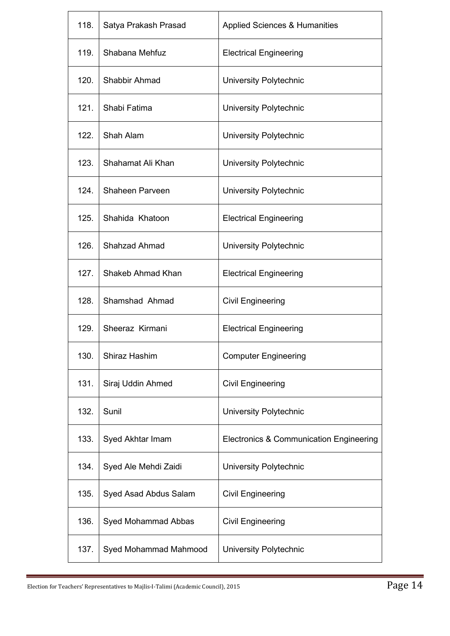| 118. | Satya Prakash Prasad  | <b>Applied Sciences &amp; Humanities</b> |
|------|-----------------------|------------------------------------------|
| 119. | Shabana Mehfuz        | <b>Electrical Engineering</b>            |
| 120. | Shabbir Ahmad         | University Polytechnic                   |
| 121. | Shabi Fatima          | University Polytechnic                   |
| 122. | Shah Alam             | University Polytechnic                   |
| 123. | Shahamat Ali Khan     | University Polytechnic                   |
| 124. | Shaheen Parveen       | University Polytechnic                   |
| 125. | Shahida Khatoon       | <b>Electrical Engineering</b>            |
| 126. | <b>Shahzad Ahmad</b>  | University Polytechnic                   |
| 127. | Shakeb Ahmad Khan     | <b>Electrical Engineering</b>            |
| 128. | Shamshad Ahmad        | <b>Civil Engineering</b>                 |
| 129. | Sheeraz Kirmani       | <b>Electrical Engineering</b>            |
| 130. | Shiraz Hashim         | <b>Computer Engineering</b>              |
| 131. | Siraj Uddin Ahmed     | <b>Civil Engineering</b>                 |
| 132. | Sunil                 | University Polytechnic                   |
| 133. | Syed Akhtar Imam      | Electronics & Communication Engineering  |
| 134. | Syed Ale Mehdi Zaidi  | University Polytechnic                   |
| 135. | Syed Asad Abdus Salam | <b>Civil Engineering</b>                 |
| 136. | Syed Mohammad Abbas   | <b>Civil Engineering</b>                 |
| 137. | Syed Mohammad Mahmood | University Polytechnic                   |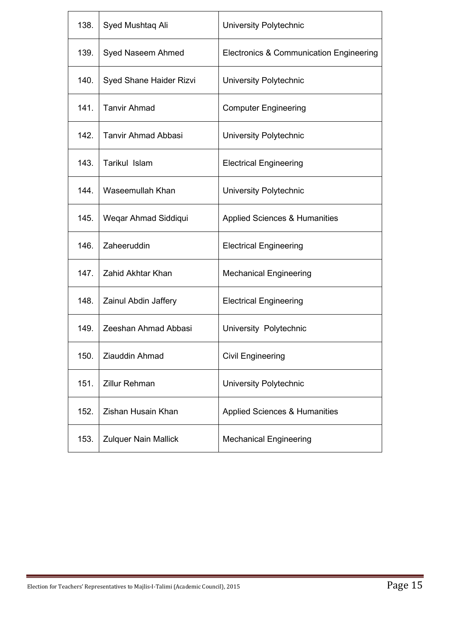| 138. | Syed Mushtaq Ali            | University Polytechnic                   |  |
|------|-----------------------------|------------------------------------------|--|
| 139. | Syed Naseem Ahmed           | Electronics & Communication Engineering  |  |
| 140. | Syed Shane Haider Rizvi     | University Polytechnic                   |  |
| 141. | <b>Tanvir Ahmad</b>         | <b>Computer Engineering</b>              |  |
| 142. | <b>Tanvir Ahmad Abbasi</b>  | University Polytechnic                   |  |
| 143. | Tarikul Islam               | <b>Electrical Engineering</b>            |  |
| 144. | Waseemullah Khan            | University Polytechnic                   |  |
| 145. | Wegar Ahmad Siddiqui        | <b>Applied Sciences &amp; Humanities</b> |  |
| 146. | Zaheeruddin                 | <b>Electrical Engineering</b>            |  |
| 147. | <b>Zahid Akhtar Khan</b>    | <b>Mechanical Engineering</b>            |  |
| 148. | Zainul Abdin Jaffery        | <b>Electrical Engineering</b>            |  |
| 149. | Zeeshan Ahmad Abbasi        | University Polytechnic                   |  |
| 150. | Ziauddin Ahmad              | <b>Civil Engineering</b>                 |  |
| 151. | Zillur Rehman               | University Polytechnic                   |  |
| 152. | Zishan Husain Khan          | <b>Applied Sciences &amp; Humanities</b> |  |
| 153. | <b>Zulquer Nain Mallick</b> | <b>Mechanical Engineering</b>            |  |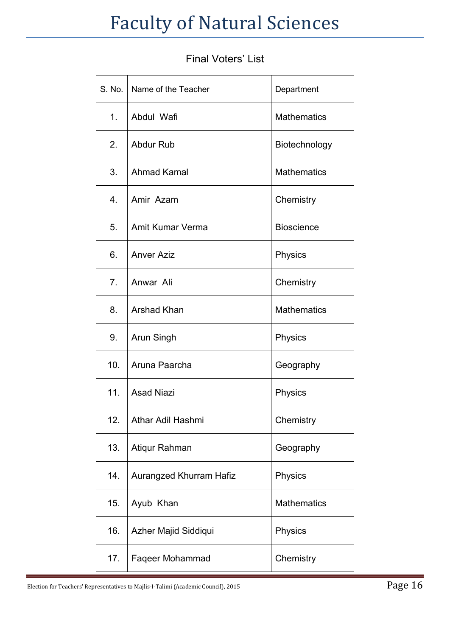| S. No.                                       | Name of the Teacher                 | Department         |
|----------------------------------------------|-------------------------------------|--------------------|
| 1 <sub>1</sub>                               | Abdul Wafi                          | <b>Mathematics</b> |
| 2.                                           | Abdur Rub                           | Biotechnology      |
| 3.                                           | <b>Ahmad Kamal</b>                  | <b>Mathematics</b> |
| 4.                                           | Amir Azam                           | Chemistry          |
| 5.                                           | Amit Kumar Verma                    | <b>Bioscience</b>  |
| 6.                                           | <b>Anver Aziz</b>                   | <b>Physics</b>     |
| 7 <sub>1</sub><br>Anwar Ali                  |                                     | Chemistry          |
| 8.                                           | <b>Arshad Khan</b>                  | <b>Mathematics</b> |
| 9.                                           | <b>Arun Singh</b>                   | <b>Physics</b>     |
| 10.                                          | Aruna Paarcha<br>Geography          |                    |
| 11.                                          | <b>Asad Niazi</b><br><b>Physics</b> |                    |
| 12.<br><b>Athar Adil Hashmi</b><br>Chemistry |                                     |                    |
| 13.                                          | Atiqur Rahman<br>Geography          |                    |
| 14.                                          | Aurangzed Khurram Hafiz             | <b>Physics</b>     |
| 15.                                          | Ayub Khan                           | <b>Mathematics</b> |
| 16.                                          | Azher Majid Siddiqui                | <b>Physics</b>     |
| 17.<br>Chemistry<br>Faqeer Mohammad          |                                     |                    |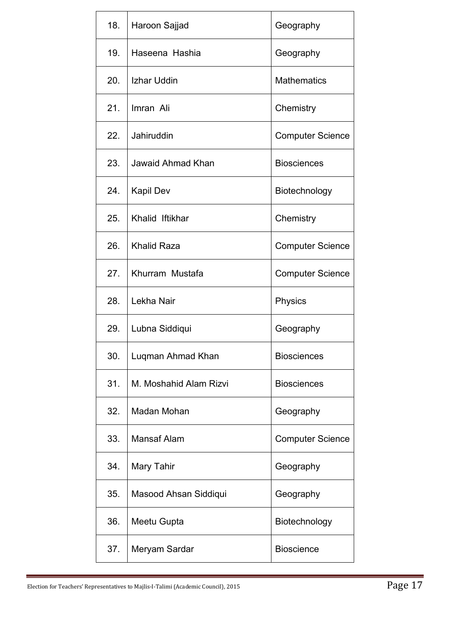| 18.                           | Haroon Sajjad         | Geography               |
|-------------------------------|-----------------------|-------------------------|
| 19.                           | Haseena Hashia        | Geography               |
| 20.                           | Izhar Uddin           | <b>Mathematics</b>      |
| 21.                           | Imran Ali             | Chemistry               |
| 22.                           | Jahiruddin            | <b>Computer Science</b> |
| 23.                           | Jawaid Ahmad Khan     | <b>Biosciences</b>      |
| 24.                           | <b>Kapil Dev</b>      | Biotechnology           |
| 25.                           | Khalid Iftikhar       | Chemistry               |
| 26.                           | <b>Khalid Raza</b>    | <b>Computer Science</b> |
| 27.                           | Khurram Mustafa       | <b>Computer Science</b> |
| 28.                           | Lekha Nair            | Physics                 |
| 29.                           | Lubna Siddiqui        | Geography               |
| 30.                           | Luqman Ahmad Khan     | <b>Biosciences</b>      |
| 31.<br>M. Moshahid Alam Rizvi |                       | <b>Biosciences</b>      |
| 32.                           | Madan Mohan           | Geography               |
| 33.                           | <b>Mansaf Alam</b>    | <b>Computer Science</b> |
| 34.                           | Mary Tahir            | Geography               |
| 35.                           | Masood Ahsan Siddiqui | Geography               |
| 36.                           | Meetu Gupta           | Biotechnology           |
| 37.                           | Meryam Sardar         | <b>Bioscience</b>       |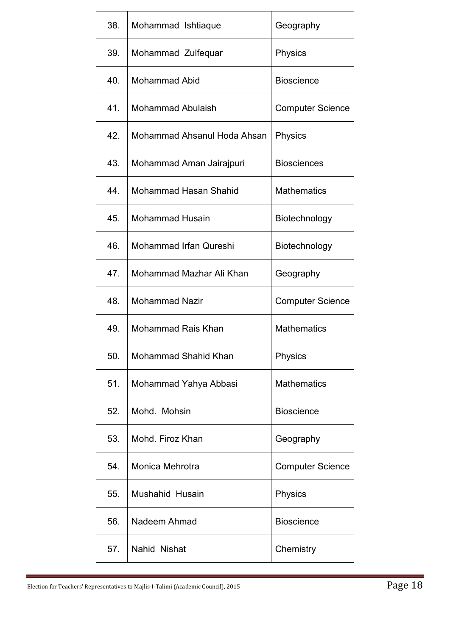| 38. | Mohammad Ishtiaque          | Geography               |
|-----|-----------------------------|-------------------------|
| 39. | Mohammad Zulfequar          | <b>Physics</b>          |
| 40. | <b>Mohammad Abid</b>        | <b>Bioscience</b>       |
| 41. | <b>Mohammad Abulaish</b>    | <b>Computer Science</b> |
| 42. | Mohammad Ahsanul Hoda Ahsan | <b>Physics</b>          |
| 43. | Mohammad Aman Jairajpuri    | <b>Biosciences</b>      |
| 44. | Mohammad Hasan Shahid       | <b>Mathematics</b>      |
| 45. | <b>Mohammad Husain</b>      | Biotechnology           |
| 46. | Mohammad Irfan Qureshi      | Biotechnology           |
| 47. | Mohammad Mazhar Ali Khan    | Geography               |
| 48. | <b>Mohammad Nazir</b>       | <b>Computer Science</b> |
| 49. | Mohammad Rais Khan          | <b>Mathematics</b>      |
| 50. | Mohammad Shahid Khan        | <b>Physics</b>          |
| 51. | Mohammad Yahya Abbasi       | <b>Mathematics</b>      |
| 52. | Mohd. Mohsin                | <b>Bioscience</b>       |
| 53. | Mohd. Firoz Khan            | Geography               |
| 54. | Monica Mehrotra             | <b>Computer Science</b> |
| 55. | Mushahid Husain             | <b>Physics</b>          |
| 56. | Nadeem Ahmad                | <b>Bioscience</b>       |
| 57. | Nahid Nishat                | Chemistry               |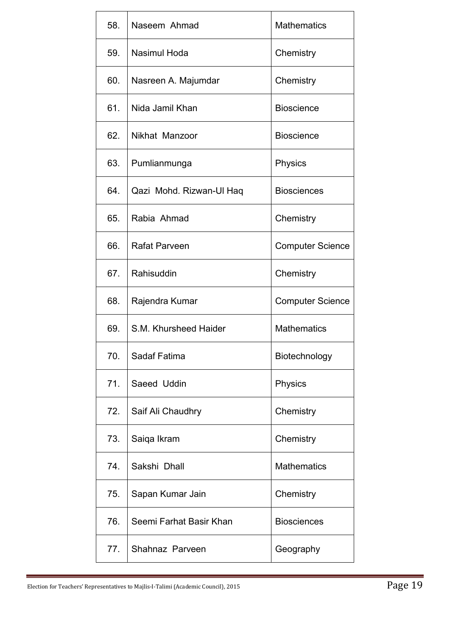| 58.                                  | Naseem Ahmad             | <b>Mathematics</b>      |
|--------------------------------------|--------------------------|-------------------------|
| 59.                                  | Nasimul Hoda             | Chemistry               |
| 60.                                  | Nasreen A. Majumdar      | Chemistry               |
| 61.                                  | Nida Jamil Khan          | <b>Bioscience</b>       |
| 62.                                  | Nikhat Manzoor           | <b>Bioscience</b>       |
| 63.                                  | Pumlianmunga             | <b>Physics</b>          |
| 64.                                  | Qazi Mohd. Rizwan-Ul Haq | <b>Biosciences</b>      |
| 65.<br>Rabia Ahmad<br>Chemistry      |                          |                         |
| 66.<br><b>Rafat Parveen</b>          |                          | <b>Computer Science</b> |
| 67.                                  | Rahisuddin               | Chemistry               |
| 68.                                  | Rajendra Kumar           | <b>Computer Science</b> |
| 69.                                  | S.M. Khursheed Haider    | <b>Mathematics</b>      |
| 70.<br>Sadaf Fatima                  |                          | Biotechnology           |
| 71.<br>Saeed Uddin<br><b>Physics</b> |                          |                         |
| 72.                                  | Saif Ali Chaudhry        | Chemistry               |
| 73.                                  | Saiga Ikram              | Chemistry               |
| 74.                                  | Sakshi Dhall             | <b>Mathematics</b>      |
| 75.                                  | Sapan Kumar Jain         | Chemistry               |
| 76.                                  | Seemi Farhat Basir Khan  | <b>Biosciences</b>      |
| 77.                                  | Shahnaz Parveen          | Geography               |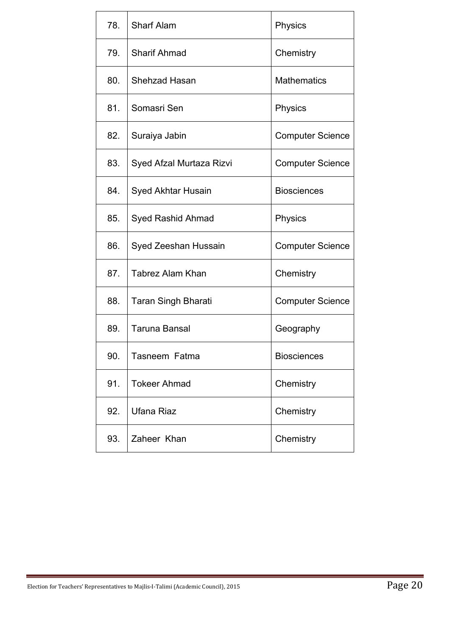| 78.                         | <b>Sharf Alam</b>          | <b>Physics</b>          |
|-----------------------------|----------------------------|-------------------------|
| 79.                         | <b>Sharif Ahmad</b>        | Chemistry               |
| 80.                         | <b>Shehzad Hasan</b>       | <b>Mathematics</b>      |
| 81.                         | Somasri Sen                | <b>Physics</b>          |
| 82.                         | Suraiya Jabin              | <b>Computer Science</b> |
| 83.                         | Syed Afzal Murtaza Rizvi   | <b>Computer Science</b> |
| 84.                         | <b>Syed Akhtar Husain</b>  | <b>Biosciences</b>      |
| 85.                         | <b>Syed Rashid Ahmad</b>   | <b>Physics</b>          |
| 86.<br>Syed Zeeshan Hussain |                            | <b>Computer Science</b> |
| 87.                         | <b>Tabrez Alam Khan</b>    | Chemistry               |
| 88.                         | <b>Taran Singh Bharati</b> | <b>Computer Science</b> |
| 89.                         | Taruna Bansal              | Geography               |
| 90.                         | Tasneem Fatma              | <b>Biosciences</b>      |
| 91.                         | <b>Tokeer Ahmad</b>        | Chemistry               |
| 92.                         | Ufana Riaz                 | Chemistry               |
| 93.<br>Zaheer Khan          |                            | Chemistry               |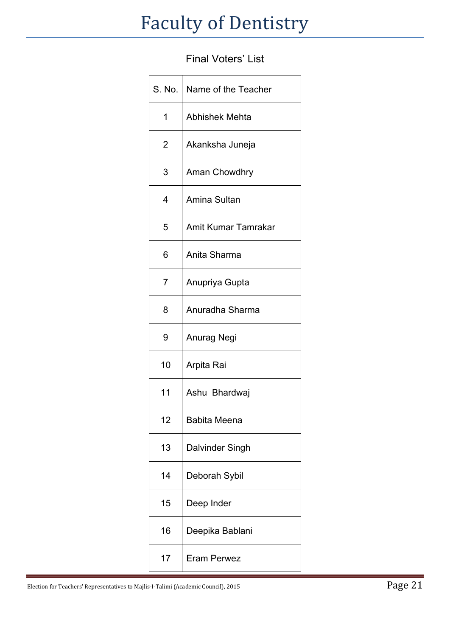# Faculty of Dentistry

| S. No.         | Name of the Teacher |
|----------------|---------------------|
| 1              | Abhishek Mehta      |
| $\overline{2}$ | Akanksha Juneja     |
| 3              | Aman Chowdhry       |
| 4              | Amina Sultan        |
| 5              | Amit Kumar Tamrakar |
| 6              | Anita Sharma        |
| 7              | Anupriya Gupta      |
| 8              | Anuradha Sharma     |
| 9              | Anurag Negi         |
| 10             | Arpita Rai          |
| 11             | Ashu Bhardwaj       |
| 12             | <b>Babita Meena</b> |
| 13             | Dalvinder Singh     |
| 14             | Deborah Sybil       |
| 15             | Deep Inder          |
| 16             | Deepika Bablani     |
| 17             | <b>Eram Perwez</b>  |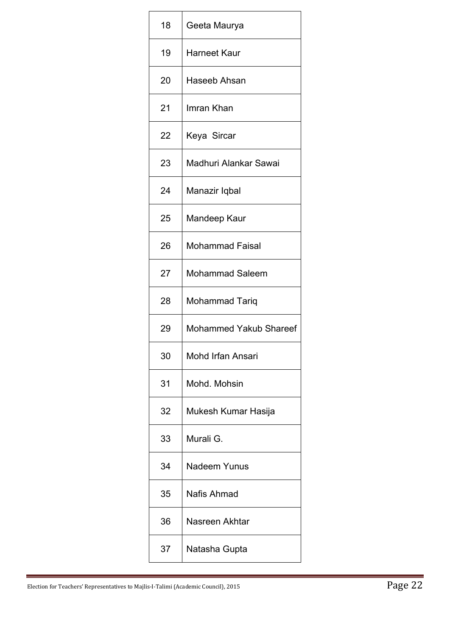| 18 | Geeta Maurya                  |
|----|-------------------------------|
| 19 | <b>Harneet Kaur</b>           |
| 20 | Haseeb Ahsan                  |
| 21 | Imran Khan                    |
| 22 | Keya Sircar                   |
| 23 | Madhuri Alankar Sawai         |
| 24 | Manazir Iqbal                 |
| 25 | Mandeep Kaur                  |
| 26 | <b>Mohammad Faisal</b>        |
| 27 | <b>Mohammad Saleem</b>        |
| 28 | <b>Mohammad Tariq</b>         |
| 29 | <b>Mohammed Yakub Shareef</b> |
| 30 | Mohd Irfan Ansari             |
| 31 | Mohd. Mohsin                  |
| 32 | Mukesh Kumar Hasija           |
| 33 | Murali G.                     |
| 34 | <b>Nadeem Yunus</b>           |
| 35 | Nafis Ahmad                   |
| 36 | Nasreen Akhtar                |
| 37 | Natasha Gupta                 |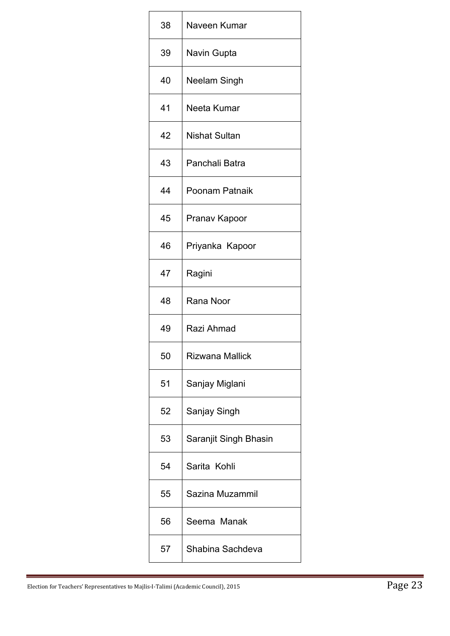| 38 | Naveen Kumar          |
|----|-----------------------|
| 39 | Navin Gupta           |
| 40 | Neelam Singh          |
| 41 | Neeta Kumar           |
| 42 | <b>Nishat Sultan</b>  |
| 43 | Panchali Batra        |
| 44 | Poonam Patnaik        |
| 45 | Pranav Kapoor         |
| 46 | Priyanka Kapoor       |
| 47 | Ragini                |
| 48 | Rana Noor             |
| 49 | Razi Ahmad            |
| 50 | Rizwana Mallick       |
| 51 | Sanjay Miglani        |
| 52 | Sanjay Singh          |
| 53 | Saranjit Singh Bhasin |
| 54 | Sarita Kohli          |
| 55 | Sazina Muzammil       |
| 56 | Seema Manak           |
| 57 | Shabina Sachdeva      |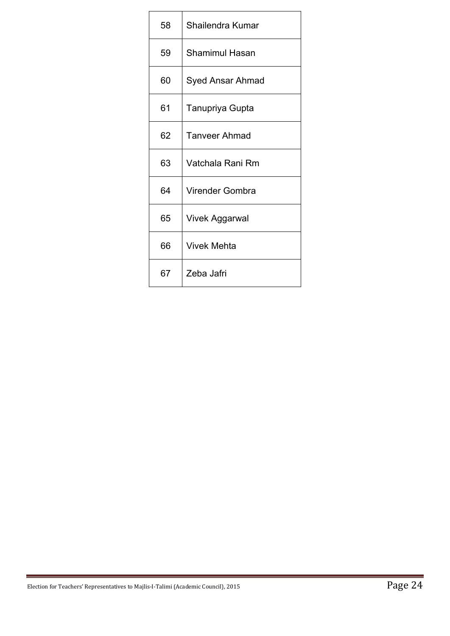| 58 | Shailendra Kumar      |
|----|-----------------------|
| 59 | <b>Shamimul Hasan</b> |
| 60 | Syed Ansar Ahmad      |
| 61 | Tanupriya Gupta       |
| 62 | <b>Tanveer Ahmad</b>  |
| 63 | Vatchala Rani Rm      |
| 64 | Virender Gombra       |
| 65 | Vivek Aggarwal        |
| 66 | <b>Vivek Mehta</b>    |
| 67 | Zeba Jafri            |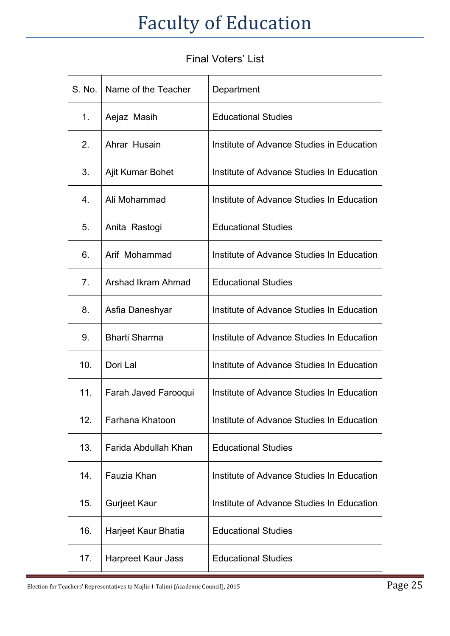# Faculty of Education

### Final Voters' List

| S. No.          | Name of the Teacher  | Department                                |  |
|-----------------|----------------------|-------------------------------------------|--|
| 1.              | Aejaz Masih          | <b>Educational Studies</b>                |  |
| 2.              | Ahrar Husain         | Institute of Advance Studies in Education |  |
| 3.              | Ajit Kumar Bohet     | Institute of Advance Studies In Education |  |
| 4.              | Ali Mohammad         | Institute of Advance Studies In Education |  |
| 5.              | Anita Rastogi        | <b>Educational Studies</b>                |  |
| 6.              | Arif Mohammad        | Institute of Advance Studies In Education |  |
| 7.              | Arshad Ikram Ahmad   | <b>Educational Studies</b>                |  |
| 8.              | Asfia Daneshyar      | Institute of Advance Studies In Education |  |
| 9.              | <b>Bharti Sharma</b> | Institute of Advance Studies In Education |  |
| 10 <sub>1</sub> | Dori Lal             | Institute of Advance Studies In Education |  |
| 11.             | Farah Javed Farooqui | Institute of Advance Studies In Education |  |
| 12.             | Farhana Khatoon      | Institute of Advance Studies In Education |  |
| 13.             | Farida Abdullah Khan | <b>Educational Studies</b>                |  |
| 14.             | Fauzia Khan          | Institute of Advance Studies In Education |  |
| 15.             | <b>Gurjeet Kaur</b>  | Institute of Advance Studies In Education |  |
| 16.             | Harjeet Kaur Bhatia  | <b>Educational Studies</b>                |  |
| 17.             | Harpreet Kaur Jass   | <b>Educational Studies</b>                |  |

Election for Teachers' Representatives to Majlis-I-Talimi (Academic Council), 2015 Page 25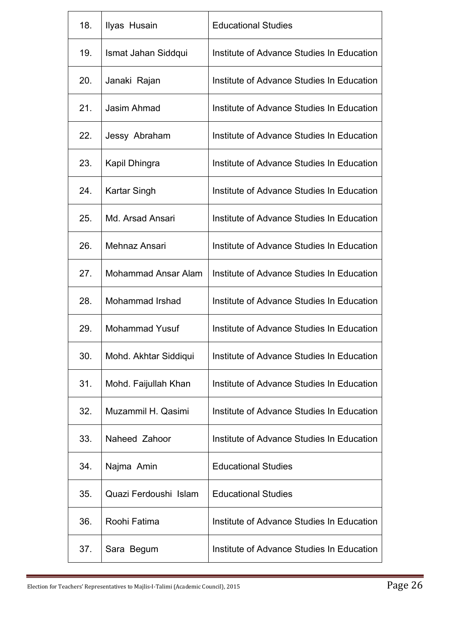| 18. | Ilyas Husain                                                     | <b>Educational Studies</b>                |  |
|-----|------------------------------------------------------------------|-------------------------------------------|--|
| 19. | Institute of Advance Studies In Education<br>Ismat Jahan Siddqui |                                           |  |
| 20. | Janaki Rajan                                                     | Institute of Advance Studies In Education |  |
| 21. | Jasim Ahmad                                                      | Institute of Advance Studies In Education |  |
| 22. | Jessy Abraham                                                    | Institute of Advance Studies In Education |  |
| 23. | Kapil Dhingra                                                    | Institute of Advance Studies In Education |  |
| 24. | Kartar Singh                                                     | Institute of Advance Studies In Education |  |
| 25. | Md. Arsad Ansari                                                 | Institute of Advance Studies In Education |  |
| 26. | Mehnaz Ansari                                                    | Institute of Advance Studies In Education |  |
| 27. | <b>Mohammad Ansar Alam</b>                                       | Institute of Advance Studies In Education |  |
| 28. | Mohammad Irshad                                                  | Institute of Advance Studies In Education |  |
| 29. | <b>Mohammad Yusuf</b>                                            | Institute of Advance Studies In Education |  |
| 30. | Mohd. Akhtar Siddiqui                                            | Institute of Advance Studies In Education |  |
| 31. | Mohd. Faijullah Khan                                             | Institute of Advance Studies In Education |  |
| 32. | Muzammil H. Qasimi                                               | Institute of Advance Studies In Education |  |
| 33. | Naheed Zahoor                                                    | Institute of Advance Studies In Education |  |
| 34. | Najma Amin                                                       | <b>Educational Studies</b>                |  |
| 35. | Quazi Ferdoushi Islam                                            | <b>Educational Studies</b>                |  |
| 36. | Roohi Fatima                                                     | Institute of Advance Studies In Education |  |
| 37. | Sara Begum                                                       | Institute of Advance Studies In Education |  |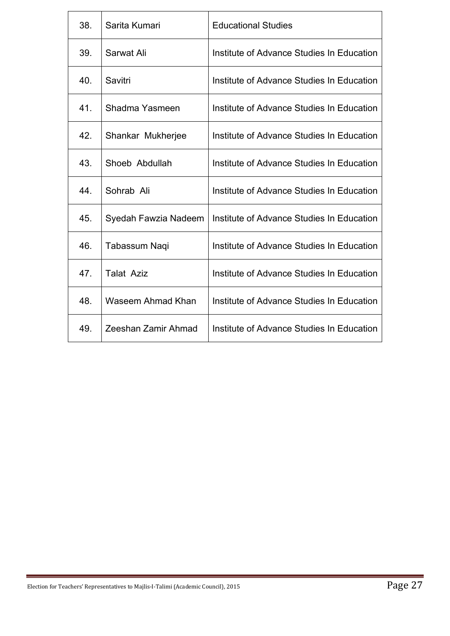| 38. | Sarita Kumari        | <b>Educational Studies</b>                |
|-----|----------------------|-------------------------------------------|
| 39. | Sarwat Ali           | Institute of Advance Studies In Education |
| 40. | Savitri              | Institute of Advance Studies In Education |
| 41. | Shadma Yasmeen       | Institute of Advance Studies In Education |
| 42. | Shankar Mukherjee    | Institute of Advance Studies In Education |
| 43. | Shoeb Abdullah       | Institute of Advance Studies In Education |
| 44. | Sohrab Ali           | Institute of Advance Studies In Education |
| 45. | Syedah Fawzia Nadeem | Institute of Advance Studies In Education |
| 46. | Tabassum Naqi        | Institute of Advance Studies In Education |
| 47. | <b>Talat Aziz</b>    | Institute of Advance Studies In Education |
| 48. | Waseem Ahmad Khan    | Institute of Advance Studies In Education |
| 49. | Zeeshan Zamir Ahmad  | Institute of Advance Studies In Education |